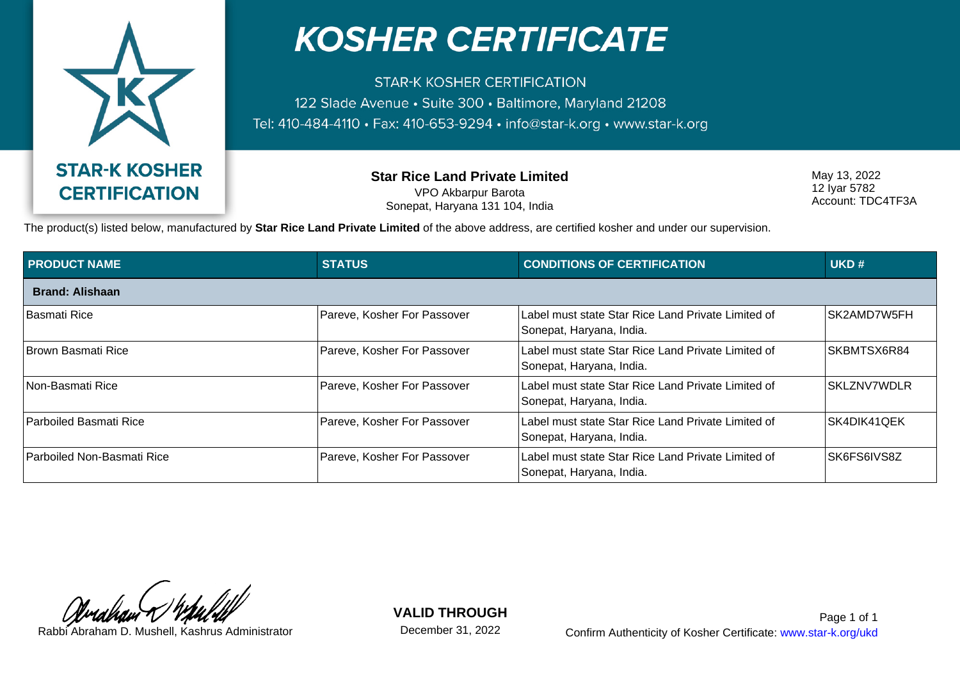

## **KOSHER CERTIFICATE**

**STAR-K KOSHER CERTIFICATION** 122 Slade Avenue · Suite 300 · Baltimore, Maryland 21208 Tel: 410-484-4110 • Fax: 410-653-9294 • info@star-k.org • www.star-k.org

> **Star Rice Land Private Limited** VPO Akbarpur Barota Sonepat, Haryana 131 104, India

May 13, 2022 12 Iyar 5782 Account: TDC4TF3A

The product(s) listed below, manufactured by **Star Rice Land Private Limited** of the above address, are certified kosher and under our supervision.

| <b>PRODUCT NAME</b>               | <b>STATUS</b>               | <b>CONDITIONS OF CERTIFICATION</b>                                             | UKD#               |
|-----------------------------------|-----------------------------|--------------------------------------------------------------------------------|--------------------|
| <b>Brand: Alishaan</b>            |                             |                                                                                |                    |
| Basmati Rice                      | Pareve, Kosher For Passover | Label must state Star Rice Land Private Limited of<br>Sonepat, Haryana, India. | SK2AMD7W5FH        |
| <b>Brown Basmati Rice</b>         | Pareve, Kosher For Passover | Label must state Star Rice Land Private Limited of<br>Sonepat, Haryana, India. | SKBMTSX6R84        |
| ∣Non-Basmati Rice                 | Pareve, Kosher For Passover | Label must state Star Rice Land Private Limited of<br>Sonepat, Haryana, India. | <b>SKLZNV7WDLR</b> |
| Parboiled Basmati Rice            | Pareve, Kosher For Passover | Label must state Star Rice Land Private Limited of<br>Sonepat, Haryana, India. | SK4DIK41QEK        |
| <b>Parboiled Non-Basmati Rice</b> | Pareve, Kosher For Passover | Label must state Star Rice Land Private Limited of<br>Sonepat, Haryana, India. | SK6FS6IVS8Z        |

**VALID THROUGH**

December 31, 2022